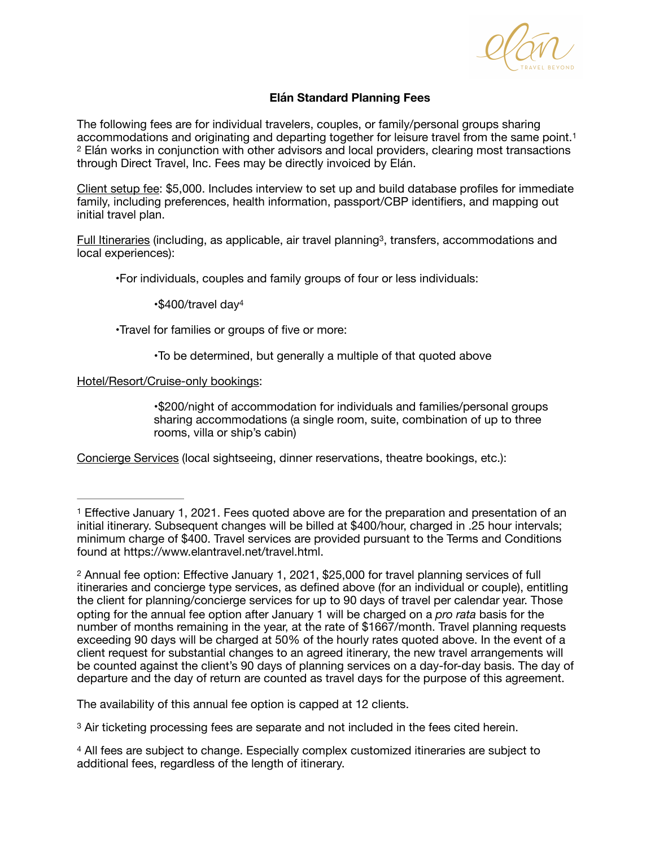<span id="page-0-4"></span>

## <span id="page-0-6"></span>**Elán Standard Planning Fees**

<span id="page-0-5"></span>The following fees are for individual travelers, couples, or family/personal groups sharing accommodations and originating and departing together for leisure travel from the same point[.1](#page-0-0) Elán works in conjunction with other advisors and local providers, clearing most transactions [2](#page-0-1) through Direct Travel, Inc. Fees may be directly invoiced by Elán.

Client setup fee: \$5,000. Includes interview to set up and build database profiles for immediate family, including preferences, health information, passport/CBP identifiers, and mapping out initial travel plan.

Full Itineraries (including[,](#page-0-2) as applicable, air travel planning<sup>[3](#page-0-2)</sup>, transfers, accommodations and local experiences):

 •For individuals, couples and family groups of four or less individuals:

<span id="page-0-7"></span> •\$400/travel day[4](#page-0-3)

 •Travel for families or groups of five or more:

 •To be determined, but generally a multiple of that quoted above

Hotel/Resort/Cruise-only bookings:

 •\$200/night of accommodation for individuals and families/personal groups sharing accommodations (a single room, suite, combination of up to three rooms, villa or ship's cabin)

Concierge Services (local sightseeing, dinner reservations, theatre bookings, etc.):

<span id="page-0-1"></span><sup>[2](#page-0-5)</sup> Annual fee option: Effective January 1, 2021, \$25,000 for travel planning services of full itineraries and concierge type services, as defined above (for an individual or couple), entitling the client for planning/concierge services for up to 90 days of travel per calendar year. Those opting for the annual fee option after January 1 will be charged on a *pro rata* basis for the number of months remaining in the year, at the rate of \$1667/month. Travel planning requests exceeding 90 days will be charged at 50% of the hourly rates quoted above. In the event of a client request for substantial changes to an agreed itinerary, the new travel arrangements will be counted against the client's 90 days of planning services on a day-for-day basis. The day of departure and the day of return are counted as travel days for the purpose of this agreement.

The availability of this annual fee option is capped at 12 clients.

<span id="page-0-2"></span><sup>[3](#page-0-6)</sup> Air ticketing processing fees are separate and not included in the fees cited herein.

<span id="page-0-3"></span><sup>[4](#page-0-7)</sup> All fees are subject to change. Especially complex customized itineraries are subject to additional fees, regardless of the length of itinerary.

<span id="page-0-0"></span><sup>&</sup>lt;sup>[1](#page-0-4)</sup> Effective January 1, 2021. Fees quoted above are for the preparation and presentation of an initial itinerary. Subsequent changes will be billed at \$400/hour, charged in .25 hour intervals; minimum charge of \$400. Travel services are provided pursuant to the Terms and Conditions found at https://www.elantravel.net/travel.html.